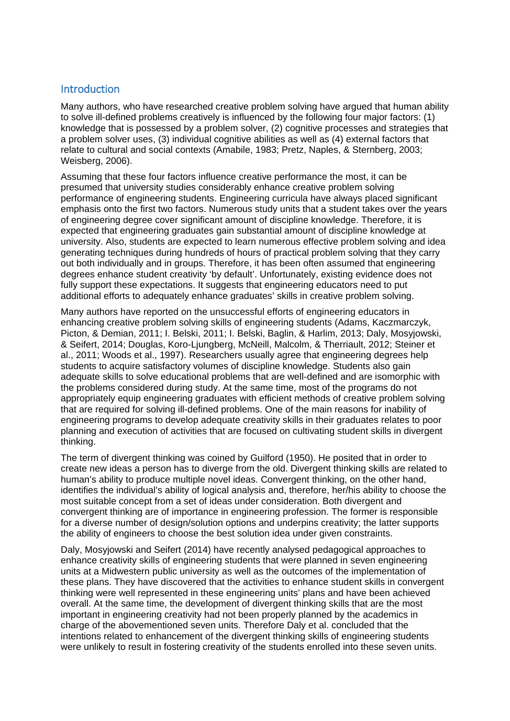## **Introduction**

Many authors, who have researched creative problem solving have argued that human ability to solve ill-defined problems creatively is influenced by the following four major factors: (1) knowledge that is possessed by a problem solver, (2) cognitive processes and strategies that a problem solver uses, (3) individual cognitive abilities as well as (4) external factors that relate to cultural and social contexts [\(Amabile, 1983;](#page-6-0) [Pretz, Naples, & Sternberg, 2003;](#page-7-0) [Weisberg, 2006\)](#page-7-1).

Assuming that these four factors influence creative performance the most, it can be presumed that university studies considerably enhance creative problem solving performance of engineering students. Engineering curricula have always placed significant emphasis onto the first two factors. Numerous study units that a student takes over the years of engineering degree cover significant amount of discipline knowledge. Therefore, it is expected that engineering graduates gain substantial amount of discipline knowledge at university. Also, students are expected to learn numerous effective problem solving and idea generating techniques during hundreds of hours of practical problem solving that they carry out both individually and in groups. Therefore, it has been often assumed that engineering degrees enhance student creativity 'by default'. Unfortunately, existing evidence does not fully support these expectations. It suggests that engineering educators need to put additional efforts to adequately enhance graduates' skills in creative problem solving.

Many authors have reported on the unsuccessful efforts of engineering educators in enhancing creative problem solving skills of engineering students [\(Adams, Kaczmarczyk,](#page-6-1)  [Picton, & Demian, 2011;](#page-6-1) [I. Belski, 2011;](#page-6-2) [I. Belski, Baglin, & Harlim, 2013;](#page-6-3) [Daly, Mosyjowski,](#page-7-2)  [& Seifert, 2014;](#page-7-2) [Douglas, Koro-Ljungberg, McNeill, Malcolm, & Therriault, 2012;](#page-7-3) [Steiner et](#page-7-4)  [al., 2011;](#page-7-4) [Woods et al., 1997\)](#page-7-5). Researchers usually agree that engineering degrees help students to acquire satisfactory volumes of discipline knowledge. Students also gain adequate skills to solve educational problems that are well-defined and are isomorphic with the problems considered during study. At the same time, most of the programs do not appropriately equip engineering graduates with efficient methods of creative problem solving that are required for solving ill-defined problems. One of the main reasons for inability of engineering programs to develop adequate creativity skills in their graduates relates to poor planning and execution of activities that are focused on cultivating student skills in divergent thinking.

The term of divergent thinking was coined by Guilford [\(1950\)](#page-7-6). He posited that in order to create new ideas a person has to diverge from the old. Divergent thinking skills are related to human's ability to produce multiple novel ideas. Convergent thinking, on the other hand, identifies the individual's ability of logical analysis and, therefore, her/his ability to choose the most suitable concept from a set of ideas under consideration. Both divergent and convergent thinking are of importance in engineering profession. The former is responsible for a diverse number of design/solution options and underpins creativity; the latter supports the ability of engineers to choose the best solution idea under given constraints.

Daly, Mosyjowski and Seifert [\(2014\)](#page-7-2) have recently analysed pedagogical approaches to enhance creativity skills of engineering students that were planned in seven engineering units at a Midwestern public university as well as the outcomes of the implementation of these plans. They have discovered that the activities to enhance student skills in convergent thinking were well represented in these engineering units' plans and have been achieved overall. At the same time, the development of divergent thinking skills that are the most important in engineering creativity had not been properly planned by the academics in charge of the abovementioned seven units. Therefore Daly et al. concluded that the intentions related to enhancement of the divergent thinking skills of engineering students were unlikely to result in fostering creativity of the students enrolled into these seven units.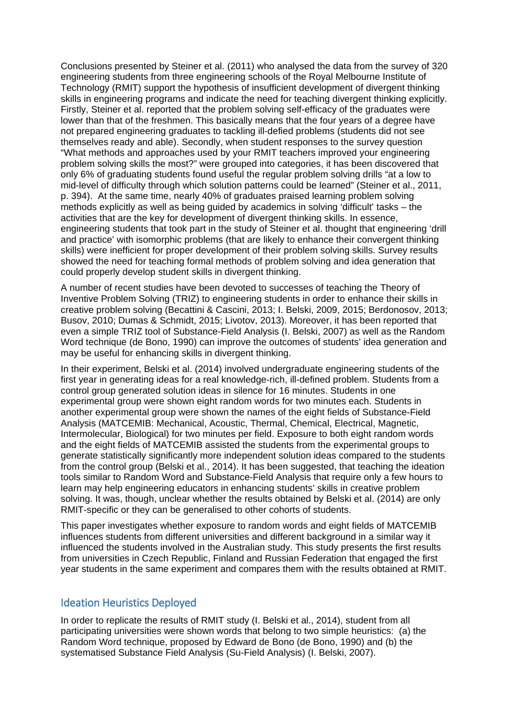Conclusions presented by Steiner et al. [\(2011\)](#page-7-4) who analysed the data from the survey of 320 engineering students from three engineering schools of the Royal Melbourne Institute of Technology (RMIT) support the hypothesis of insufficient development of divergent thinking skills in engineering programs and indicate the need for teaching divergent thinking explicitly. Firstly, Steiner et al. reported that the problem solving self-efficacy of the graduates were lower than that of the freshmen. This basically means that the four years of a degree have not prepared engineering graduates to tackling ill-defied problems (students did not see themselves ready and able). Secondly, when student responses to the survey question "What methods and approaches used by your RMIT teachers improved your engineering problem solving skills the most?" were grouped into categories, it has been discovered that only 6% of graduating students found useful the regular problem solving drills "at a low to mid-level of difficulty through which solution patterns could be learned" [\(Steiner et al., 2011,](#page-7-4)  [p. 394\)](#page-7-4). At the same time, nearly 40% of graduates praised learning problem solving methods explicitly as well as being guided by academics in solving 'difficult' tasks – the activities that are the key for development of divergent thinking skills. In essence, engineering students that took part in the study of Steiner et al. thought that engineering 'drill and practice' with isomorphic problems (that are likely to enhance their convergent thinking skills) were inefficient for proper development of their problem solving skills. Survey results showed the need for teaching formal methods of problem solving and idea generation that could properly develop student skills in divergent thinking.

A number of recent studies have been devoted to successes of teaching the Theory of Inventive Problem Solving (TRIZ) to engineering students in order to enhance their skills in creative problem solving [\(Becattini & Cascini, 2013;](#page-6-4) [I. Belski, 2009,](#page-6-5) [2015;](#page-6-6) [Berdonosov, 2013;](#page-7-7) [Busov, 2010;](#page-7-8) [Dumas & Schmidt, 2015;](#page-7-9) [Livotov, 2013\)](#page-7-10). Moreover, it has been reported that even a simple TRIZ tool of Substance-Field Analysis [\(I. Belski, 2007\)](#page-6-7) as well as the Random Word technique [\(de Bono, 1990\)](#page-7-11) can improve the outcomes of students' idea generation and may be useful for enhancing skills in divergent thinking.

In their experiment, Belski et al. (2014) involved undergraduate engineering students of the first year in generating ideas for a real knowledge-rich, ill-defined problem. Students from a control group generated solution ideas in silence for 16 minutes. Students in one experimental group were shown eight random words for two minutes each. Students in another experimental group were shown the names of the eight fields of Substance-Field Analysis (MATCEMIB: Mechanical, Acoustic, Thermal, Chemical, Electrical, Magnetic, Intermolecular, Biological) for two minutes per field. Exposure to both eight random words and the eight fields of MATCEMIB assisted the students from the experimental groups to generate statistically significantly more independent solution ideas compared to the students from the control group (Belski et al., 2014). It has been suggested, that teaching the ideation tools similar to Random Word and Substance-Field Analysis that require only a few hours to learn may help engineering educators in enhancing students' skills in creative problem solving. It was, though, unclear whether the results obtained by Belski et al. [\(2014\)](#page-7-12) are only RMIT-specific or they can be generalised to other cohorts of students.

This paper investigates whether exposure to random words and eight fields of MATCEMIB influences students from different universities and different background in a similar way it influenced the students involved in the Australian study. This study presents the first results from universities in Czech Republic, Finland and Russian Federation that engaged the first year students in the same experiment and compares them with the results obtained at RMIT.

### Ideation Heuristics Deployed

In order to replicate the results of RMIT study [\(I. Belski et al., 2014\)](#page-7-12), student from all participating universities were shown words that belong to two simple heuristics: (a) the Random Word technique, proposed by Edward de Bono [\(de Bono, 1990\)](#page-7-11) and (b) the systematised Substance Field Analysis (Su-Field Analysis) [\(I. Belski, 2007\)](#page-6-7).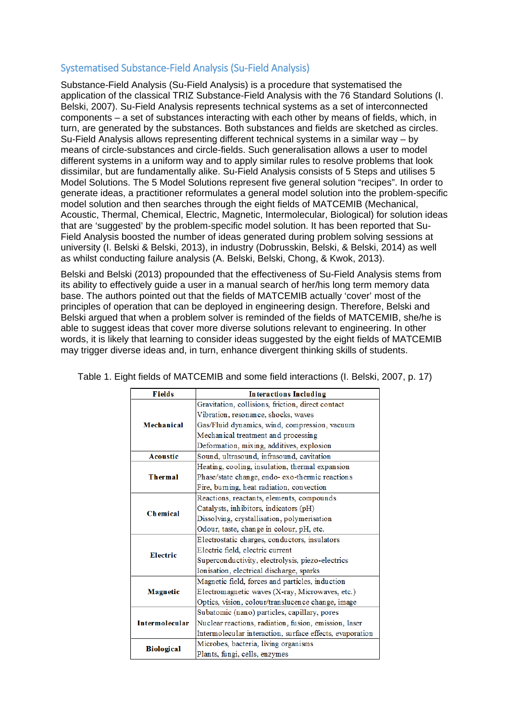## Systematised Substance-Field Analysis (Su-Field Analysis)

Substance-Field Analysis (Su-Field Analysis) is a procedure that systematised the application of the classical TRIZ Substance-Field Analysis with the 76 Standard Solutions [\(I.](#page-6-7)  [Belski, 2007\)](#page-6-7). Su-Field Analysis represents technical systems as a set of interconnected components – a set of substances interacting with each other by means of fields, which, in turn, are generated by the substances. Both substances and fields are sketched as circles. Su-Field Analysis allows representing different technical systems in a similar way – by means of circle-substances and circle-fields. Such generalisation allows a user to model different systems in a uniform way and to apply similar rules to resolve problems that look dissimilar, but are fundamentally alike. Su-Field Analysis consists of 5 Steps and utilises 5 Model Solutions. The 5 Model Solutions represent five general solution "recipes". In order to generate ideas, a practitioner reformulates a general model solution into the problem-specific model solution and then searches through the eight fields of MATCEMIB (Mechanical, Acoustic, Thermal, Chemical, Electric, Magnetic, Intermolecular, Biological) for solution ideas that are 'suggested' by the problem-specific model solution. It has been reported that Su-Field Analysis boosted the number of ideas generated during problem solving sessions at university [\(I. Belski & Belski, 2013\)](#page-6-8), in industry [\(Dobrusskin, Belski, & Belski, 2014\)](#page-7-13) as well as whilst conducting failure analysis [\(A. Belski, Belski, Chong, & Kwok, 2013\)](#page-6-9).

Belski and Belski [\(2013\)](#page-6-8) propounded that the effectiveness of Su-Field Analysis stems from its ability to effectively guide a user in a manual search of her/his long term memory data base. The authors pointed out that the fields of MATCEMIB actually 'cover' most of the principles of operation that can be deployed in engineering design. Therefore, Belski and Belski argued that when a problem solver is reminded of the fields of MATCEMIB, she/he is able to suggest ideas that cover more diverse solutions relevant to engineering. In other words, it is likely that learning to consider ideas suggested by the eight fields of MATCEMIB may trigger diverse ideas and, in turn, enhance divergent thinking skills of students.

| <b>Fields</b>         | <b>Interactions Including</b>                            |  |  |  |  |  |  |
|-----------------------|----------------------------------------------------------|--|--|--|--|--|--|
| Mechanical            | Gravitation, collisions, friction, direct contact        |  |  |  |  |  |  |
|                       | Vibration, resonance, shocks, waves                      |  |  |  |  |  |  |
|                       | Gas/Fluid dynamics, wind, compression, vacuum            |  |  |  |  |  |  |
|                       | Mechanical treatment and processing                      |  |  |  |  |  |  |
|                       | Deformation, mixing, additives, explosion                |  |  |  |  |  |  |
| <b>Acoustic</b>       | Sound, ultrasound, infrasound, cavitation                |  |  |  |  |  |  |
|                       | Heating, cooling, insulation, thermal expansion          |  |  |  |  |  |  |
| <b>Thermal</b>        | Phase/state change, endo-exo-thermic reactions           |  |  |  |  |  |  |
|                       | Fire, burning, heat radiation, convection                |  |  |  |  |  |  |
| <b>Chemical</b>       | Reactions, reactants, elements, compounds                |  |  |  |  |  |  |
|                       | Catalysts, inhibitors, indicators (pH)                   |  |  |  |  |  |  |
|                       | Dissolving, crystallisation, polymerisation              |  |  |  |  |  |  |
|                       | Odour, taste, change in colour, pH, etc.                 |  |  |  |  |  |  |
|                       | Electrostatic charges, conductors, insulators            |  |  |  |  |  |  |
| Electric              | Electric field, electric current                         |  |  |  |  |  |  |
|                       | Superconductivity, electrolysis, piezo-electrics         |  |  |  |  |  |  |
|                       | Ionisation, electrical discharge, sparks                 |  |  |  |  |  |  |
|                       | Magnetic field, forces and particles, induction          |  |  |  |  |  |  |
| Magnetic              | Electromagnetic waves (X-ray, Microwaves, etc.)          |  |  |  |  |  |  |
|                       | Optics, vision, colour/translucence change, image        |  |  |  |  |  |  |
| <b>Intermolecular</b> | Subatomic (nano) particles, capillary, pores             |  |  |  |  |  |  |
|                       | Nuclear reactions, radiation, fusion, emission, laser    |  |  |  |  |  |  |
|                       | Intermolecular interaction, surface effects, evaporation |  |  |  |  |  |  |
|                       | Microbes, bacteria, living organisms                     |  |  |  |  |  |  |
| <b>Biological</b>     | Plants, fungi, cells, enzymes                            |  |  |  |  |  |  |

Table 1. Eight fields of MATCEMIB and some field interactions (I. Belski, 2007, p. 17)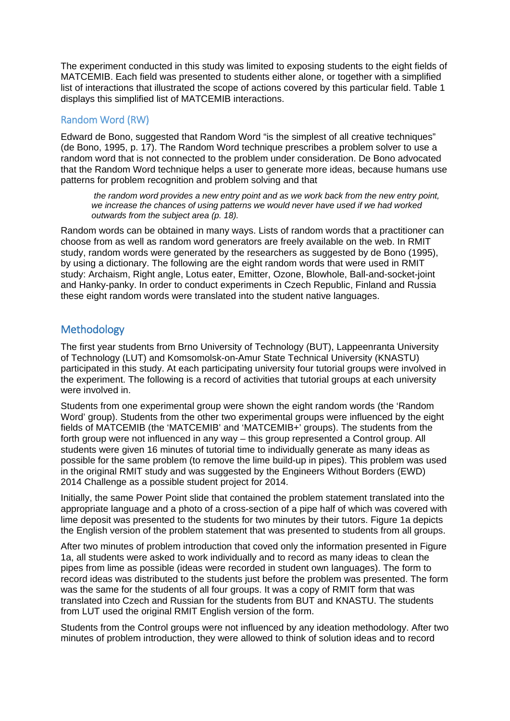The experiment conducted in this study was limited to exposing students to the eight fields of MATCEMIB. Each field was presented to students either alone, or together with a simplified list of interactions that illustrated the scope of actions covered by this particular field. Table 1 displays this simplified list of MATCEMIB interactions.

## Random Word (RW)

Edward de Bono, suggested that Random Word "is the simplest of all creative techniques" [\(de Bono, 1995, p. 17\)](#page-7-14). The Random Word technique prescribes a problem solver to use a random word that is not connected to the problem under consideration. De Bono advocated that the Random Word technique helps a user to generate more ideas, because humans use patterns for problem recognition and problem solving and that

*the random word provides a new entry point and as we work back from the new entry point, we increase the chances of using patterns we would never have used if we had worked outwards from the subject area (p. 18).* 

Random words can be obtained in many ways. Lists of random words that a practitioner can choose from as well as random word generators are freely available on the web. In RMIT study, random words were generated by the researchers as suggested by de Bono [\(1995\)](#page-7-14), by using a dictionary. The following are the eight random words that were used in RMIT study: Archaism, Right angle, Lotus eater, Emitter, Ozone, Blowhole, Ball-and-socket-joint and Hanky-panky. In order to conduct experiments in Czech Republic, Finland and Russia these eight random words were translated into the student native languages.

# Methodology

The first year students from Brno University of Technology (BUT), Lappeenranta University of Technology (LUT) and Komsomolsk-on-Amur State Technical University (KNASTU) participated in this study. At each participating university four tutorial groups were involved in the experiment. The following is a record of activities that tutorial groups at each university were involved in.

Students from one experimental group were shown the eight random words (the 'Random Word' group). Students from the other two experimental groups were influenced by the eight fields of MATCEMIB (the 'MATCEMIB' and 'MATCEMIB+' groups). The students from the forth group were not influenced in any way – this group represented a Control group. All students were given 16 minutes of tutorial time to individually generate as many ideas as possible for the same problem (to remove the lime build-up in pipes). This problem was used in the original RMIT study and was suggested by the Engineers Without Borders (EWD) 2014 Challenge as a possible student project for 2014.

Initially, the same Power Point slide that contained the problem statement translated into the appropriate language and a photo of a cross-section of a pipe half of which was covered with lime deposit was presented to the students for two minutes by their tutors. Figure 1a depicts the English version of the problem statement that was presented to students from all groups.

After two minutes of problem introduction that coved only the information presented in Figure 1a, all students were asked to work individually and to record as many ideas to clean the pipes from lime as possible (ideas were recorded in student own languages). The form to record ideas was distributed to the students just before the problem was presented. The form was the same for the students of all four groups. It was a copy of RMIT form that was translated into Czech and Russian for the students from BUT and KNASTU. The students from LUT used the original RMIT English version of the form.

Students from the Control groups were not influenced by any ideation methodology. After two minutes of problem introduction, they were allowed to think of solution ideas and to record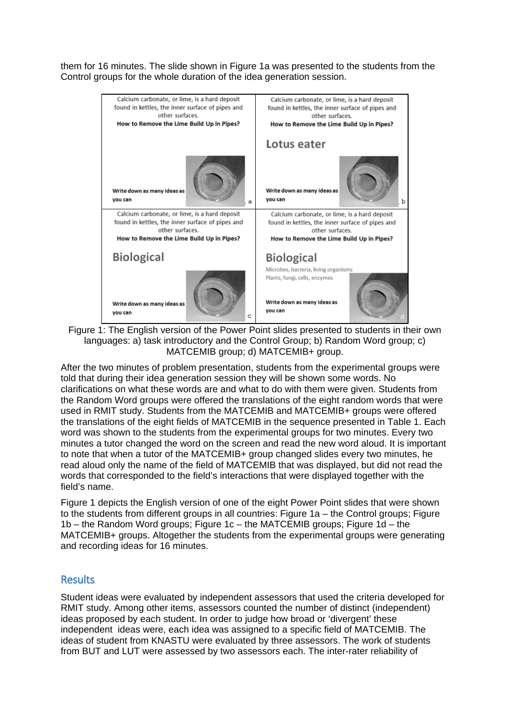them for 16 minutes. The slide shown in Figure 1a was presented to the students from the Control groups for the whole duration of the idea generation session.



Figure 1: The English version of the Power Point slides presented to students in their own languages: a) task introductory and the Control Group; b) Random Word group; c) MATCEMIB group; d) MATCEMIB+ group.

After the two minutes of problem presentation, students from the experimental groups were told that during their idea generation session they will be shown some words. No clarifications on what these words are and what to do with them were given. Students from the Random Word groups were offered the translations of the eight random words that were used in RMIT study. Students from the MATCEMIB and MATCEMIB+ groups were offered the translations of the eight fields of MATCEMIB in the sequence presented in Table 1. Each word was shown to the students from the experimental groups for two minutes. Every two minutes a tutor changed the word on the screen and read the new word aloud. It is important to note that when a tutor of the MATCEMIB+ group changed slides every two minutes, he read aloud only the name of the field of MATCEMIB that was displayed, but did not read the words that corresponded to the field's interactions that were displayed together with the field's name.

Figure 1 depicts the English version of one of the eight Power Point slides that were shown to the students from different groups in all countries: Figure 1a – the Control groups; Figure 1b – the Random Word groups; Figure 1c – the MATCEMIB groups; Figure 1d – the MATCEMIB+ groups. Altogether the students from the experimental groups were generating and recording ideas for 16 minutes.

## Results

Student ideas were evaluated by independent assessors that used the criteria developed for RMIT study. Among other items, assessors counted the number of distinct (independent) ideas proposed by each student. In order to judge how broad or 'divergent' these independent ideas were, each idea was assigned to a specific field of MATCEMIB. The ideas of student from KNASTU were evaluated by three assessors. The work of students from BUT and LUT were assessed by two assessors each. The inter-rater reliability of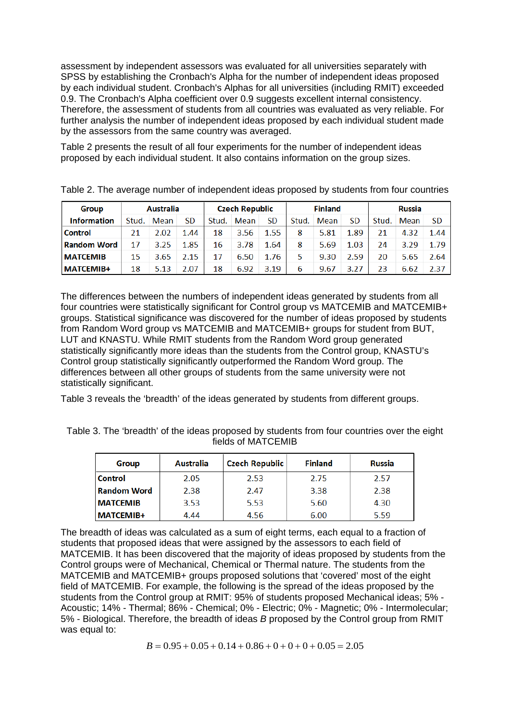assessment by independent assessors was evaluated for all universities separately with SPSS by establishing the Cronbach's Alpha for the number of independent ideas proposed by each individual student. Cronbach's Alphas for all universities (including RMIT) exceeded 0.9. The Cronbach's Alpha coefficient over 0.9 suggests excellent internal consistency. Therefore, the assessment of students from all countries was evaluated as very reliable. For further analysis the number of independent ideas proposed by each individual student made by the assessors from the same country was averaged.

Table 2 presents the result of all four experiments for the number of independent ideas proposed by each individual student. It also contains information on the group sizes.

| <b>Group</b>       | <b>Australia</b> |      | <b>Czech Republic</b> |    |            | <b>Finland</b> |       |      | <b>Russia</b> |       |      |           |
|--------------------|------------------|------|-----------------------|----|------------|----------------|-------|------|---------------|-------|------|-----------|
| <b>Information</b> | Stud.            | Mean | <b>SD</b>             |    | Stud. Mean | <b>SD</b>      | Stud. | Mean | <b>SD</b>     | Stud. | Mean | <b>SD</b> |
| <b>Control</b>     | 21               | 2.02 | 1.44                  | 18 | 3.56       | 1.55           | 8     | 5.81 | 1.89          | 21    | 4.32 | 1.44      |
| <b>Random Word</b> | 17               | 3.25 | 1.85                  | 16 | 3.78       | 1.64           | 8     | 5.69 | 1.03          | 24    | 3.29 | 1.79      |
| <b>MATCEMIB</b>    | 15               | 3.65 | 2.15                  | 17 | 6.50       | 1.76           | 5.    | 9.30 | 2.59          | 20    | 5.65 | 2.64      |
| <b>MATCEMIB+</b>   | 18               | 5.13 | 2.07                  | 18 | 6.92       | 3.19           | 6     | 9.67 | 3.27          | 23    | 6.62 | 2.37      |

Table 2. The average number of independent ideas proposed by students from four countries

The differences between the numbers of independent ideas generated by students from all four countries were statistically significant for Control group vs MATCEMIB and MATCEMIB+ groups. Statistical significance was discovered for the number of ideas proposed by students from Random Word group vs MATCEMIB and MATCEMIB+ groups for student from BUT, LUT and KNASTU. While RMIT students from the Random Word group generated statistically significantly more ideas than the students from the Control group, KNASTU's Control group statistically significantly outperformed the Random Word group. The differences between all other groups of students from the same university were not statistically significant.

Table 3 reveals the 'breadth' of the ideas generated by students from different groups.

Table 3. The 'breadth' of the ideas proposed by students from four countries over the eight fields of MATCEMIB

| <b>Group</b>       | <b>Australia</b> | <b>Czech Republic</b> | <b>Finland</b> | <b>Russia</b> |
|--------------------|------------------|-----------------------|----------------|---------------|
| <b>Control</b>     | 2.05             | 2.53                  | 2.75           | 2.57          |
| <b>Random Word</b> | 2.38             | 2.47                  | 3.38           | 2.38          |
| <b>IMATCEMIB</b>   | 3.53             | 5.53                  | 5.60           | 4.30          |
| <b>MATCEMIB+</b>   | 4.44             | 4.56                  | 6.00           | 5.59          |

The breadth of ideas was calculated as a sum of eight terms, each equal to a fraction of students that proposed ideas that were assigned by the assessors to each field of MATCEMIB. It has been discovered that the majority of ideas proposed by students from the Control groups were of Mechanical, Chemical or Thermal nature. The students from the MATCEMIB and MATCEMIB+ groups proposed solutions that 'covered' most of the eight field of MATCEMIB. For example, the following is the spread of the ideas proposed by the students from the Control group at RMIT: 95% of students proposed Mechanical ideas: 5% -Acoustic; 14% - Thermal; 86% - Chemical; 0% - Electric; 0% - Magnetic; 0% - Intermolecular; 5% - Biological. Therefore, the breadth of ideas *B* proposed by the Control group from RMIT was equal to:

$$
B = 0.95 + 0.05 + 0.14 + 0.86 + 0 + 0 + 0 + 0.05 = 2.05
$$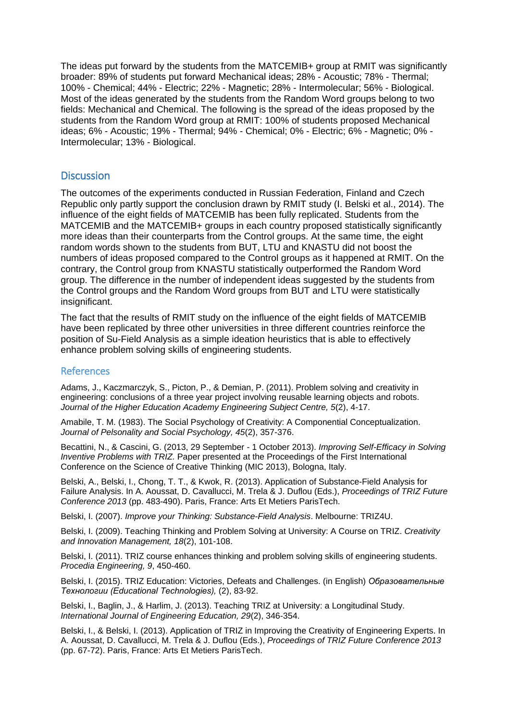The ideas put forward by the students from the MATCEMIB+ group at RMIT was significantly broader: 89% of students put forward Mechanical ideas; 28% - Acoustic; 78% - Thermal; 100% - Chemical; 44% - Electric; 22% - Magnetic; 28% - Intermolecular; 56% - Biological. Most of the ideas generated by the students from the Random Word groups belong to two fields: Mechanical and Chemical. The following is the spread of the ideas proposed by the students from the Random Word group at RMIT: 100% of students proposed Mechanical ideas; 6% - Acoustic; 19% - Thermal; 94% - Chemical; 0% - Electric; 6% - Magnetic; 0% - Intermolecular; 13% - Biological.

### **Discussion**

The outcomes of the experiments conducted in Russian Federation, Finland and Czech Republic only partly support the conclusion drawn by RMIT study [\(I. Belski et al., 2014\)](#page-7-12). The influence of the eight fields of MATCEMIB has been fully replicated. Students from the MATCEMIB and the MATCEMIB+ groups in each country proposed statistically significantly more ideas than their counterparts from the Control groups. At the same time, the eight random words shown to the students from BUT, LTU and KNASTU did not boost the numbers of ideas proposed compared to the Control groups as it happened at RMIT. On the contrary, the Control group from KNASTU statistically outperformed the Random Word group. The difference in the number of independent ideas suggested by the students from the Control groups and the Random Word groups from BUT and LTU were statistically insignificant.

The fact that the results of RMIT study on the influence of the eight fields of MATCEMIB have been replicated by three other universities in three different countries reinforce the position of Su-Field Analysis as a simple ideation heuristics that is able to effectively enhance problem solving skills of engineering students.

#### References

<span id="page-6-1"></span>Adams, J., Kaczmarczyk, S., Picton, P., & Demian, P. (2011). Problem solving and creativity in engineering: conclusions of a three year project involving reusable learning objects and robots. *Journal of the Higher Education Academy Engineering Subject Centre, 5*(2), 4-17.

<span id="page-6-0"></span>Amabile, T. M. (1983). The Social Psychology of Creativity: A Componential Conceptualization. *Journal of Pelsonality and Social Psychology, 45*(2), 357-376.

<span id="page-6-4"></span>Becattini, N., & Cascini, G. (2013, 29 September - 1 October 2013). *Improving Self-Efficacy in Solving Inventive Problems with TRIZ.* Paper presented at the Proceedings of the First International Conference on the Science of Creative Thinking (MIC 2013), Bologna, Italy.

<span id="page-6-9"></span>Belski, A., Belski, I., Chong, T. T., & Kwok, R. (2013). Application of Substance-Field Analysis for Failure Analysis. In A. Aoussat, D. Cavallucci, M. Trela & J. Duflou (Eds.), *Proceedings of TRIZ Future Conference 2013* (pp. 483-490). Paris, France: Arts Et Metiers ParisTech.

<span id="page-6-7"></span>Belski, I. (2007). *Improve your Thinking: Substance-Field Analysis*. Melbourne: TRIZ4U.

<span id="page-6-5"></span>Belski, I. (2009). Teaching Thinking and Problem Solving at University: A Course on TRIZ. *Creativity and Innovation Management, 18*(2), 101-108.

<span id="page-6-2"></span>Belski, I. (2011). TRIZ course enhances thinking and problem solving skills of engineering students. *Procedia Engineering, 9*, 450-460.

<span id="page-6-6"></span>Belski, I. (2015). TRIZ Education: Victories, Defeats and Challenges. (in English) *Образовательные Технологии (Educational Technologies),* (2), 83-92.

<span id="page-6-3"></span>Belski, I., Baglin, J., & Harlim, J. (2013). Teaching TRIZ at University: a Longitudinal Study. *International Journal of Engineering Education, 29*(2), 346-354.

<span id="page-6-8"></span>Belski, I., & Belski, I. (2013). Application of TRIZ in Improving the Creativity of Engineering Experts. In A. Aoussat, D. Cavallucci, M. Trela & J. Duflou (Eds.), *Proceedings of TRIZ Future Conference 2013* (pp. 67-72). Paris, France: Arts Et Metiers ParisTech.